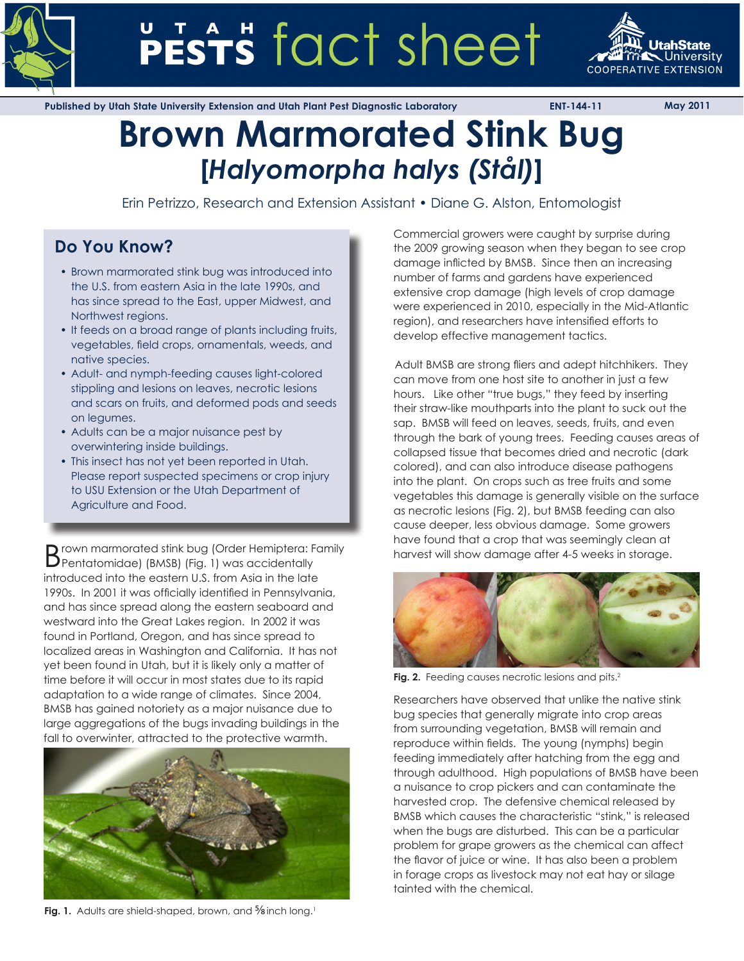

# PESTS fact sheet



**Published by Utah State University Extension and Utah Plant Pest Diagnostic Laboratory ENT-144-11 May 2011**

# **Brown Marmorated Stink Bug [***Halyomorpha halys (Stål)***]**

Erin Petrizzo, Research and Extension Assistant • Diane G. Alston, Entomologist

# **Do You Know?**

- Brown marmorated stink bug was introduced into the U.S. from eastern Asia in the late 1990s, and has since spread to the East, upper Midwest, and Northwest regions.
- It feeds on a broad range of plants including fruits, vegetables, field crops, ornamentals, weeds, and native species.
- Adult- and nymph-feeding causes light-colored stippling and lesions on leaves, necrotic lesions and scars on fruits, and deformed pods and seeds on legumes.
- Adults can be a major nuisance pest by overwintering inside buildings.
- This insect has not yet been reported in Utah. Please report suspected specimens or crop injury to USU Extension or the Utah Department of Agriculture and Food.

Brown marmorated stink bug (Order Hemiptera: Family Pentatomidae) (BMSB) (Fig. 1) was accidentally introduced into the eastern U.S. from Asia in the late 1990s. In 2001 it was officially identified in Pennsylvania, and has since spread along the eastern seaboard and westward into the Great Lakes region. In 2002 it was found in Portland, Oregon, and has since spread to localized areas in Washington and California. It has not yet been found in Utah, but it is likely only a matter of time before it will occur in most states due to its rapid adaptation to a wide range of climates. Since 2004, BMSB has gained notoriety as a major nuisance due to large aggregations of the bugs invading buildings in the fall to overwinter, attracted to the protective warmth.



**Fig. 1.** Adults are shield-shaped, brown, and <sup>5</sup>/8 inch long.<sup>1</sup>

Commercial growers were caught by surprise during the 2009 growing season when they began to see crop damage inflicted by BMSB. Since then an increasing number of farms and gardens have experienced extensive crop damage (high levels of crop damage were experienced in 2010, especially in the Mid-Atlantic region), and researchers have intensified efforts to develop effective management tactics.

Adult BMSB are strong fliers and adept hitchhikers. They can move from one host site to another in just a few hours. Like other "true bugs," they feed by inserting their straw-like mouthparts into the plant to suck out the sap. BMSB will feed on leaves, seeds, fruits, and even through the bark of young trees. Feeding causes areas of collapsed tissue that becomes dried and necrotic (dark colored), and can also introduce disease pathogens into the plant. On crops such as tree fruits and some vegetables this damage is generally visible on the surface as necrotic lesions (Fig. 2), but BMSB feeding can also cause deeper, less obvious damage. Some growers have found that a crop that was seemingly clean at harvest will show damage after 4-5 weeks in storage.



Fig. 2. Feeding causes necrotic lesions and pits.<sup>2</sup>

Researchers have observed that unlike the native stink bug species that generally migrate into crop areas from surrounding vegetation, BMSB will remain and reproduce within fields. The young (nymphs) begin feeding immediately after hatching from the egg and through adulthood. High populations of BMSB have been a nuisance to crop pickers and can contaminate the harvested crop. The defensive chemical released by BMSB which causes the characteristic "stink," is released when the bugs are disturbed. This can be a particular problem for grape growers as the chemical can affect the flavor of juice or wine. It has also been a problem in forage crops as livestock may not eat hay or silage tainted with the chemical.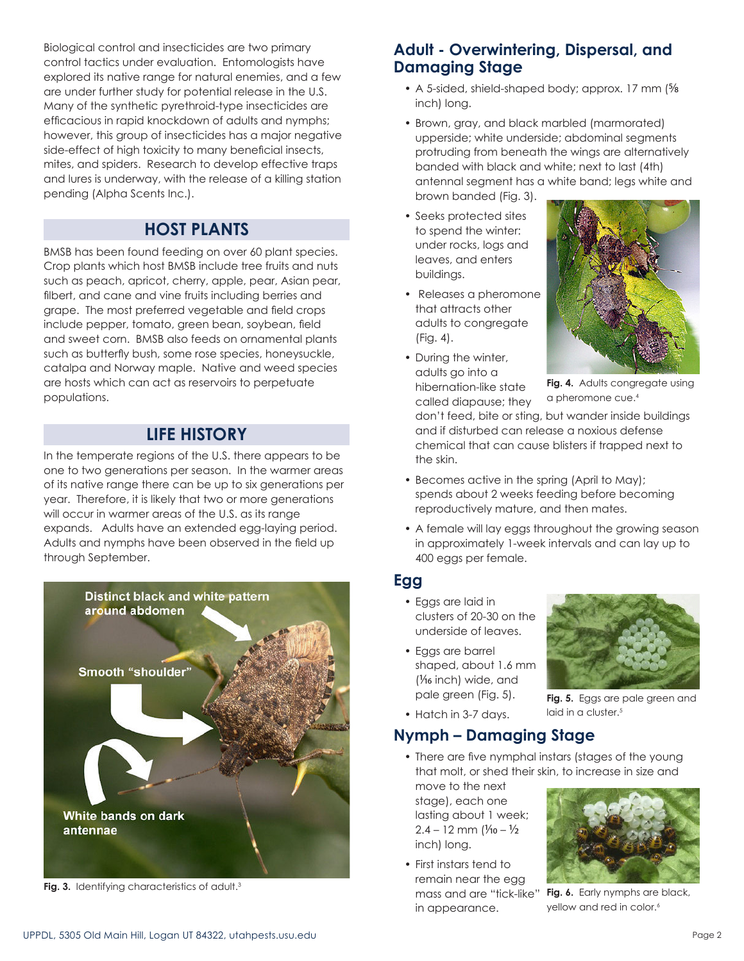Biological control and insecticides are two primary control tactics under evaluation. Entomologists have explored its native range for natural enemies, and a few are under further study for potential release in the U.S. Many of the synthetic pyrethroid-type insecticides are efficacious in rapid knockdown of adults and nymphs; however, this group of insecticides has a major negative side-effect of high toxicity to many beneficial insects, mites, and spiders. Research to develop effective traps and lures is underway, with the release of a killing station pending (Alpha Scents Inc.).

# **HOST PLANTS**

BMSB has been found feeding on over 60 plant species. Crop plants which host BMSB include tree fruits and nuts such as peach, apricot, cherry, apple, pear, Asian pear, filbert, and cane and vine fruits including berries and grape. The most preferred vegetable and field crops include pepper, tomato, green bean, soybean, field and sweet corn. BMSB also feeds on ornamental plants such as butterfly bush, some rose species, honeysuckle, catalpa and Norway maple. Native and weed species are hosts which can act as reservoirs to perpetuate populations.

# **LIFE HISTORY**

In the temperate regions of the U.S. there appears to be one to two generations per season. In the warmer areas of its native range there can be up to six generations per year. Therefore, it is likely that two or more generations will occur in warmer areas of the U.S. as its range expands. Adults have an extended egg-laying period. Adults and nymphs have been observed in the field up through September.



Fig. 3. Identifying characteristics of adult.<sup>3</sup>

# **Adult - Overwintering, Dispersal, and Damaging Stage**

- A 5-sided, shield-shaped body; approx. 17 mm (5/8) inch) long.
- Brown, gray, and black marbled (marmorated) upperside; white underside; abdominal segments protruding from beneath the wings are alternatively banded with black and white; next to last (4th) antennal segment has a white band; legs white and brown banded (Fig. 3).
- Seeks protected sites to spend the winter: under rocks, logs and leaves, and enters buildings.
- Releases a pheromone that attracts other adults to congregate (Fig. 4).
- During the winter, adults go into a hibernation-like state called diapause; they



**Fig. 4.** Adults congregate using a pheromone cue.4

don't feed, bite or sting, but wander inside buildings and if disturbed can release a noxious defense chemical that can cause blisters if trapped next to the skin.

- Becomes active in the spring (April to May); spends about 2 weeks feeding before becoming reproductively mature, and then mates.
- A female will lay eggs throughout the growing season in approximately 1-week intervals and can lay up to 400 eggs per female.

#### **Egg**

- Eggs are laid in clusters of 20-30 on the underside of leaves.
- Eggs are barrel shaped, about 1.6 mm (1/16 inch) wide, and pale green (Fig. 5).

**Fig. 5.** Eggs are pale green and

laid in a cluster.<sup>5</sup>

• Hatch in 3-7 days.

# **Nymph – Damaging Stage**

• There are five nymphal instars (stages of the young that molt, or shed their skin, to increase in size and

move to the next stage), each one lasting about 1 week;  $2.4 - 12$  mm  $1\frac{1}{10} - \frac{1}{2}$ inch) long.

• First instars tend to remain near the egg mass and are "tick-like" in appearance.



**Fig. 6.** Early nymphs are black, yellow and red in color.<sup>6</sup>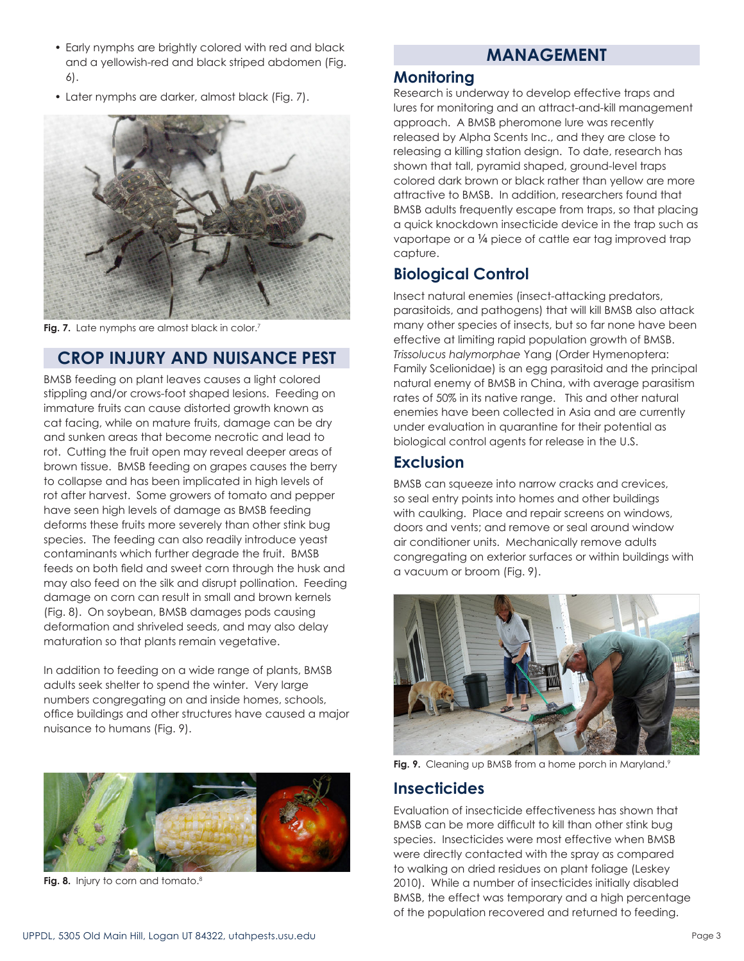- Early nymphs are brightly colored with red and black and a yellowish-red and black striped abdomen (Fig. 6).
- Later nymphs are darker, almost black (Fig. 7).



Fig. 7. Late nymphs are almost black in color.<sup>7</sup>

#### **CROP INJURY AND NUISANCE PEST**

BMSB feeding on plant leaves causes a light colored stippling and/or crows-foot shaped lesions. Feeding on immature fruits can cause distorted growth known as cat facing, while on mature fruits, damage can be dry and sunken areas that become necrotic and lead to rot. Cutting the fruit open may reveal deeper areas of brown tissue. BMSB feeding on grapes causes the berry to collapse and has been implicated in high levels of rot after harvest. Some growers of tomato and pepper have seen high levels of damage as BMSB feeding deforms these fruits more severely than other stink bug species. The feeding can also readily introduce yeast contaminants which further degrade the fruit. BMSB feeds on both field and sweet corn through the husk and may also feed on the silk and disrupt pollination. Feeding damage on corn can result in small and brown kernels (Fig. 8). On soybean, BMSB damages pods causing deformation and shriveled seeds, and may also delay maturation so that plants remain vegetative.

In addition to feeding on a wide range of plants, BMSB adults seek shelter to spend the winter. Very large numbers congregating on and inside homes, schools, office buildings and other structures have caused a major nuisance to humans (Fig. 9).



Fig. 8. Injury to corn and tomato.<sup>8</sup>

# **MANAGEMENT**

#### **Monitoring**

Research is underway to develop effective traps and lures for monitoring and an attract-and-kill management approach. A BMSB pheromone lure was recently released by Alpha Scents Inc., and they are close to releasing a killing station design. To date, research has shown that tall, pyramid shaped, ground-level traps colored dark brown or black rather than yellow are more attractive to BMSB. In addition, researchers found that BMSB adults frequently escape from traps, so that placing a quick knockdown insecticide device in the trap such as vaportape or a 1/4 piece of cattle ear tag improved trap capture.

# **Biological Control**

Insect natural enemies (insect-attacking predators, parasitoids, and pathogens) that will kill BMSB also attack many other species of insects, but so far none have been effective at limiting rapid population growth of BMSB. *Trissolucus halymorphae* Yang (Order Hymenoptera: Family Scelionidae) is an egg parasitoid and the principal natural enemy of BMSB in China, with average parasitism rates of 50% in its native range. This and other natural enemies have been collected in Asia and are currently under evaluation in quarantine for their potential as biological control agents for release in the U.S.

#### **Exclusion**

BMSB can squeeze into narrow cracks and crevices, so seal entry points into homes and other buildings with caulking. Place and repair screens on windows, doors and vents; and remove or seal around window air conditioner units. Mechanically remove adults congregating on exterior surfaces or within buildings with a vacuum or broom (Fig. 9).



Fig. 9. Cleaning up BMSB from a home porch in Maryland.<sup>9</sup>

#### **Insecticides**

Evaluation of insecticide effectiveness has shown that BMSB can be more difficult to kill than other stink bug species. Insecticides were most effective when BMSB were directly contacted with the spray as compared to walking on dried residues on plant foliage (Leskey 2010). While a number of insecticides initially disabled BMSB, the effect was temporary and a high percentage of the population recovered and returned to feeding.